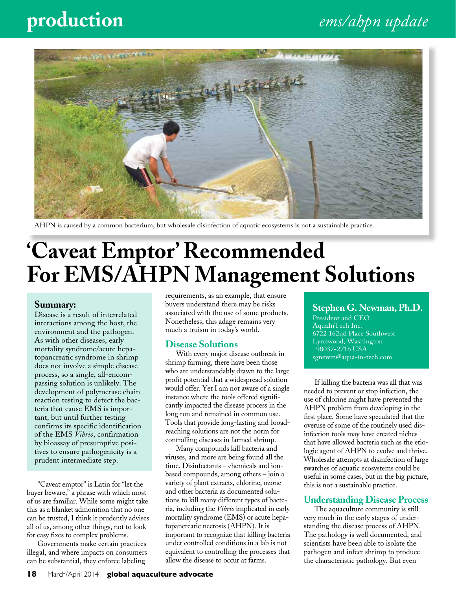# **production** *ems/ahpn update*



AHPN is caused by a common bacterium, but wholesale disinfection of aquatic ecosystems is not a sustainable practice.

# **'Caveat Emptor' Recommended For EMS/AHPN Management Solutions**

#### **Summary:**

Disease is a result of interrelated interactions among the host, the environment and the pathogen. As with other diseases, early mortality syndrome/acute hepatopancreatic syndrome in shrimp does not involve a simple disease process, so a single, all-encompassing solution is unlikely. The development of polymerase chain reaction testing to detect the bacteria that cause EMS is important, but until further testing confirms its specific identification of the EMS *Vibrio*, confirmation by bioassay of presumptive positives to ensure pathogenicity is a prudent intermediate step.

"Caveat emptor" is Latin for "let the buyer beware," a phrase with which most of us are familiar. While some might take this as a blanket admonition that no one can be trusted, I think it prudently advises all of us, among other things, not to look for easy fixes to complex problems.

Governments make certain practices illegal, and where impacts on consumers can be substantial, they enforce labeling

requirements, as an example, that ensure buyers understand there may be risks associated with the use of some products. Nonetheless, this adage remains very much a truism in today's world.

#### **Disease Solutions**

With every major disease outbreak in shrimp farming, there have been those who are understandably drawn to the large profit potential that a widespread solution would offer. Yet I am not aware of a single instance where the tools offered significantly impacted the disease process in the long run and remained in common use. Tools that provide long-lasting and broadreaching solutions are not the norm for controlling diseases in farmed shrimp.

Many compounds kill bacteria and viruses, and more are being found all the time. Disinfectants – chemicals and ionbased compounds, among others – join a variety of plant extracts, chlorine, ozone and other bacteria as documented solutions to kill many different types of bacteria, including the *Vibrio* implicated in early mortality syndrome (EMS) or acute hepatopancreatic necrosis (AHPN). It is important to recognize that killing bacteria under controlled conditions in a lab is not equivalent to controlling the processes that allow the disease to occur at farms.

#### **Stephen G. Newman, Ph.D.**

President and CEO AquaInTech Inc. 6722 162nd Place Southwest Lynnwood, Washington 98037-2716 USA sgnewm@aqua-in-tech.com

If killing the bacteria was all that was needed to prevent or stop infection, the use of chlorine might have prevented the AHPN problem from developing in the first place. Some have speculated that the overuse of some of the routinely used disinfection tools may have created niches that have allowed bacteria such as the etiologic agent of AHPN to evolve and thrive. Wholesale attempts at disinfection of large swatches of aquatic ecosystems could be useful in some cases, but in the big picture, this is not a sustainable practice.

#### **Understanding Disease Process**

The aquaculture community is still very much in the early stages of understanding the disease process of AHPN. The pathology is well documented, and scientists have been able to isolate the pathogen and infect shrimp to produce the characteristic pathology. But even